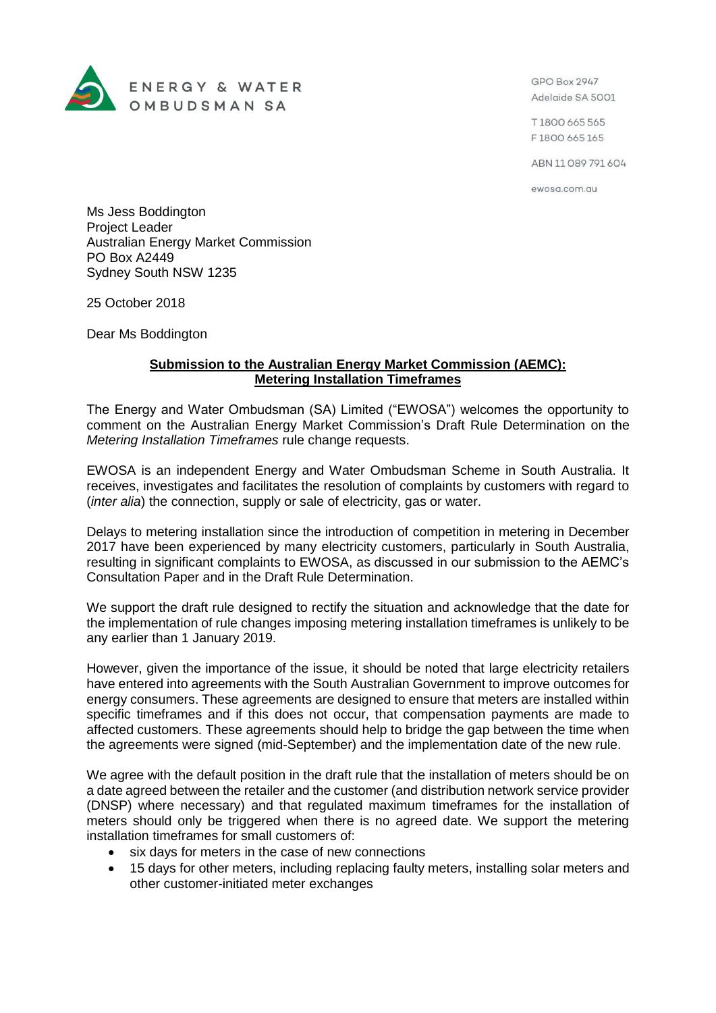

GPO Box 2947 Adelaide SA 5001

T1800 665 565 F1800 665 165

ABN 11 089 791 604

ewosa.com.au

Ms Jess Boddington Project Leader Australian Energy Market Commission PO Box A2449 Sydney South NSW 1235

25 October 2018

Dear Ms Boddington

## **Submission to the Australian Energy Market Commission (AEMC): Metering Installation Timeframes**

The Energy and Water Ombudsman (SA) Limited ("EWOSA") welcomes the opportunity to comment on the Australian Energy Market Commission's Draft Rule Determination on the *Metering Installation Timeframes* rule change requests.

EWOSA is an independent Energy and Water Ombudsman Scheme in South Australia. It receives, investigates and facilitates the resolution of complaints by customers with regard to (*inter alia*) the connection, supply or sale of electricity, gas or water.

Delays to metering installation since the introduction of competition in metering in December 2017 have been experienced by many electricity customers, particularly in South Australia, resulting in significant complaints to EWOSA, as discussed in our submission to the AEMC's Consultation Paper and in the Draft Rule Determination.

We support the draft rule designed to rectify the situation and acknowledge that the date for the implementation of rule changes imposing metering installation timeframes is unlikely to be any earlier than 1 January 2019.

However, given the importance of the issue, it should be noted that large electricity retailers have entered into agreements with the South Australian Government to improve outcomes for energy consumers. These agreements are designed to ensure that meters are installed within specific timeframes and if this does not occur, that compensation payments are made to affected customers. These agreements should help to bridge the gap between the time when the agreements were signed (mid-September) and the implementation date of the new rule.

We agree with the default position in the draft rule that the installation of meters should be on a date agreed between the retailer and the customer (and distribution network service provider (DNSP) where necessary) and that regulated maximum timeframes for the installation of meters should only be triggered when there is no agreed date. We support the metering installation timeframes for small customers of:

- six days for meters in the case of new connections
- 15 days for other meters, including replacing faulty meters, installing solar meters and other customer-initiated meter exchanges